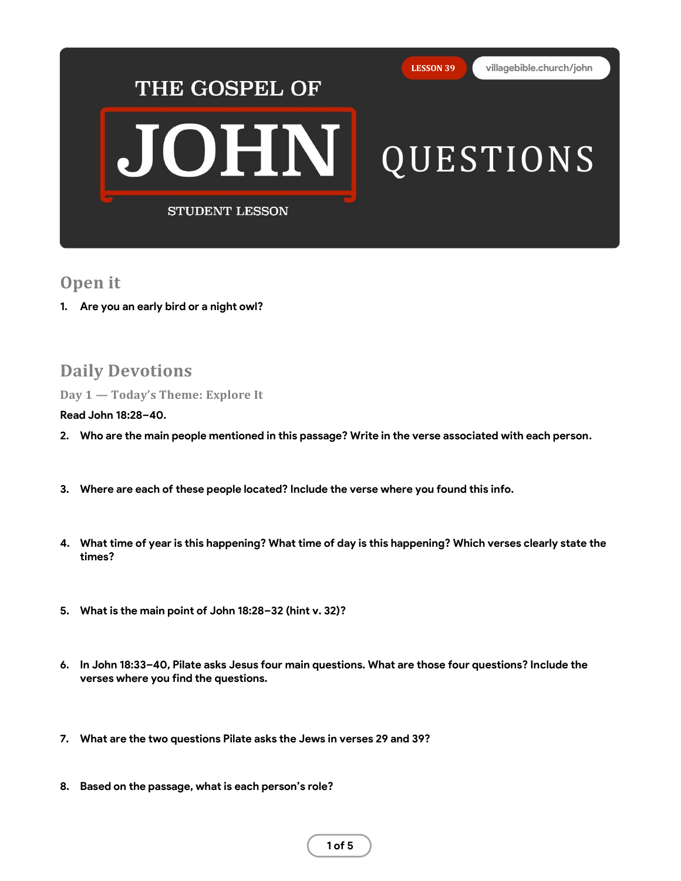

## **Open it**

**1. Are you an early bird or a night owl?**

# **Daily Devotions**

**Day 1 — Today's Theme: Explore It**

**Read John 18:28–40.**

- **2. Who are the main people mentioned in this passage? Write in the verse associated with each person.**
- **3. Where are each of these people located? Include the verse where you found this info.**
- **4. What time of year is this happening? What time of day is this happening? Which verses clearly state the times?**
- **5. What is the main point of John 18:28–32 (hint v. 32)?**
- **6. In John 18:33–40, Pilate asks Jesus four main questions. What are those four questions? Include the verses where you find the questions.**
- **7. What are the two questions Pilate asks the Jews in verses 29 and 39?**
- **8. Based on the passage, what is each person's role?**

**1 of 5**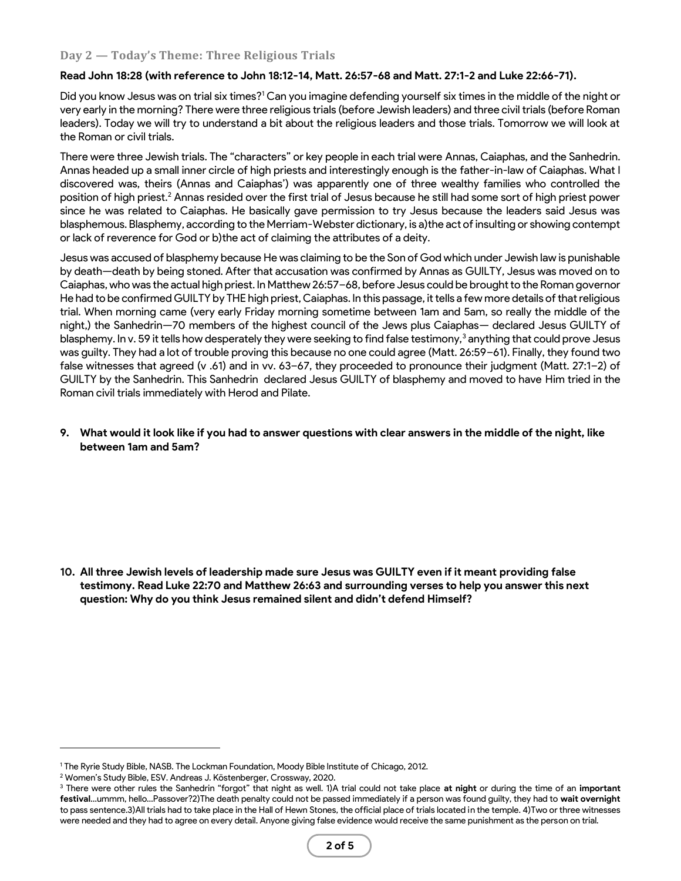### **Day 2 — Today's Theme: Three Religious Trials**

#### **Read John 18:28 (with reference to John 18:12-14, Matt. 26:57-68 and Matt. 27:1-2 and Luke 22:66-71).**

Did you know Jesus was on trial six times?<sup>1</sup> Can you imagine defending yourself six times in the middle of the night or very early in the morning? There were three religious trials (before Jewish leaders) and three civil trials (before Roman leaders). Today we will try to understand a bit about the religious leaders and those trials. Tomorrow we will look at the Roman or civil trials.

There were three Jewish trials. The "characters" or key people in each trial were Annas, Caiaphas, and the Sanhedrin. Annas headed up a small inner circle of high priests and interestingly enough is the father-in-law of Caiaphas. What I discovered was, theirs (Annas and Caiaphas') was apparently one of three wealthy families who controlled the position of high priest.<sup>2</sup> Annas resided over the first trial of Jesus because he still had some sort of high priest power since he was related to Caiaphas. He basically gave permission to try Jesus because the leaders said Jesus was blasphemous. Blasphemy, according to the Merriam-Webster dictionary, is a)the act of insulting or showing contempt or lack of reverence for God or b)the act of claiming the attributes of a deity.

Jesus was accused of blasphemy because He was claiming to be the Son of God which under Jewish law is punishable by death—death by being stoned. After that accusation was confirmed by Annas as GUILTY, Jesus was moved on to Caiaphas, who was the actual high priest. In Matthew 26:57–68, before Jesus could be brought to the Roman governor He had to be confirmed GUILTY by THE high priest, Caiaphas. In this passage, it tells a few more details of that religious trial. When morning came (very early Friday morning sometime between 1am and 5am, so really the middle of the night,) the Sanhedrin—70 members of the highest council of the Jews plus Caiaphas— declared Jesus GUILTY of blasphemy. In v. 59 it tells how desperately they were seeking to find false testimony,<sup>3</sup> anything that could prove Jesus was guilty. They had a lot of trouble proving this because no one could agree (Matt. 26:59–61). Finally, they found two false witnesses that agreed (v .61) and in vv. 63–67, they proceeded to pronounce their judgment (Matt. 27:1–2) of GUILTY by the Sanhedrin. This Sanhedrin declared Jesus GUILTY of blasphemy and moved to have Him tried in the Roman civil trials immediately with Herod and Pilate.

#### **9. What would it look like if you had to answer questions with clear answers in the middle of the night, like between 1am and 5am?**

**10. All three Jewish levels of leadership made sure Jesus was GUILTY even if it meant providing false testimony. Read Luke 22:70 and Matthew 26:63 and surrounding verses to help you answer this next question: Why do you think Jesus remained silent and didn't defend Himself?**

<sup>1</sup> The Ryrie Study Bible, NASB. The Lockman Foundation, Moody Bible Institute of Chicago, 2012.

<sup>2</sup> Women's Study Bible, ESV. Andreas J. Köstenberger, Crossway, 2020.

<sup>3</sup> There were other rules the Sanhedrin "forgot" that night as well. 1)A trial could not take place **at night** or during the time of an **important festival**…ummm, hello…Passover?2)The death penalty could not be passed immediately if a person was found guilty, they had to **wait overnight** to pass sentence.3)All trials had to take place in the Hall of Hewn Stones, the official place of trials located in the temple. 4)Two or three witnesses were needed and they had to agree on every detail. Anyone giving false evidence would receive the same punishment as the person on trial.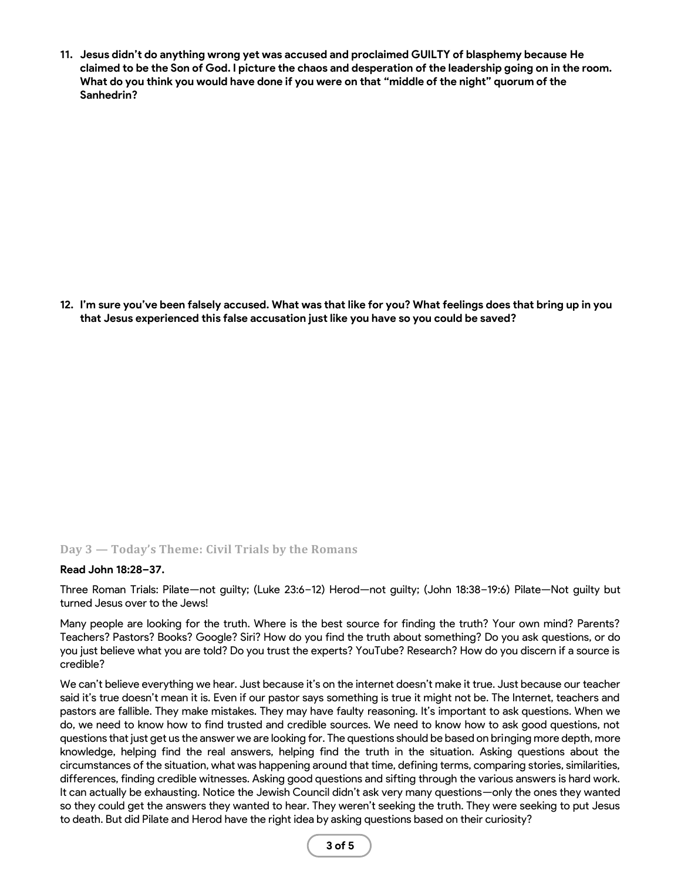**11. Jesus didn't do anything wrong yet was accused and proclaimed GUILTY of blasphemy because He claimed to be the Son of God. I picture the chaos and desperation of the leadership going on in the room. What do you think you would have done if you were on that "middle of the night" quorum of the Sanhedrin?**

**12. I'm sure you've been falsely accused. What was that like for you? What feelings does that bring up in you that Jesus experienced this false accusation just like you have so you could be saved?**

#### **Day 3 — Today's Theme: Civil Trials by the Romans**

#### **Read John 18:28–37.**

Three Roman Trials: Pilate—not guilty; (Luke 23:6–12) Herod—not guilty; (John 18:38–19:6) Pilate—Not guilty but turned Jesus over to the Jews!

Many people are looking for the truth. Where is the best source for finding the truth? Your own mind? Parents? Teachers? Pastors? Books? Google? Siri? How do you find the truth about something? Do you ask questions, or do you just believe what you are told? Do you trust the experts? YouTube? Research? How do you discern if a source is credible?

We can't believe everything we hear. Just because it's on the internet doesn't make it true. Just because our teacher said it's true doesn't mean it is. Even if our pastor says something is true it might not be. The Internet, teachers and pastors are fallible. They make mistakes. They may have faulty reasoning. It's important to ask questions. When we do, we need to know how to find trusted and credible sources. We need to know how to ask good questions, not questions that just get us the answer we are looking for. The questions should be based on bringing more depth, more knowledge, helping find the real answers, helping find the truth in the situation. Asking questions about the circumstances of the situation, what was happening around that time, defining terms, comparing stories, similarities, differences, finding credible witnesses. Asking good questions and sifting through the various answers is hard work. It can actually be exhausting. Notice the Jewish Council didn't ask very many questions—only the ones they wanted so they could get the answers they wanted to hear. They weren't seeking the truth. They were seeking to put Jesus to death. But did Pilate and Herod have the right idea by asking questions based on their curiosity?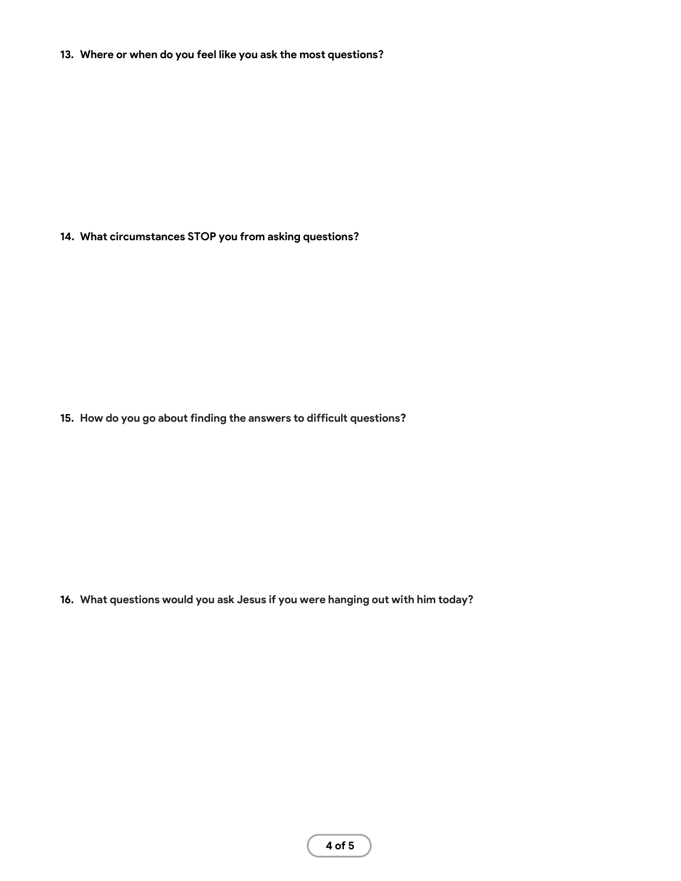**13. Where or when do you feel like you ask the most questions?**

**14. What circumstances STOP you from asking questions?**

**15. How do you go about finding the answers to difficult questions?**

**16. What questions would you ask Jesus if you were hanging out with him today?**